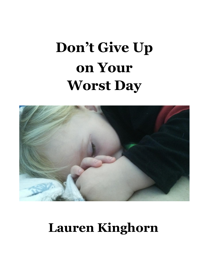# **Don't Give Up on Your Worst Day**



## **Lauren Kinghorn**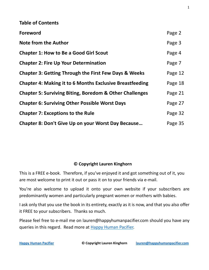| <b>Table of Contents</b>                                           |         |
|--------------------------------------------------------------------|---------|
| <b>Foreword</b>                                                    | Page 2  |
| <b>Note from the Author</b>                                        | Page 3  |
| <b>Chapter 1: How to Be a Good Girl Scout</b>                      | Page 4  |
| <b>Chapter 2: Fire Up Your Determination</b>                       | Page 7  |
| <b>Chapter 3: Getting Through the First Few Days &amp; Weeks</b>   | Page 12 |
| <b>Chapter 4: Making it to 6 Months Exclusive Breastfeeding</b>    | Page 18 |
| <b>Chapter 5: Surviving Biting, Boredom &amp; Other Challenges</b> | Page 21 |
| <b>Chapter 6: Surviving Other Possible Worst Days</b>              | Page 27 |
| <b>Chapter 7: Exceptions to the Rule</b>                           | Page 32 |
| Chapter 8: Don't Give Up on your Worst Day Because                 | Page 35 |

#### **© Copyright Lauren Kinghorn**

This is a FREE e-book. Therefore, if you've enjoyed it and got something out of it, you are most welcome to print it out or pass it on to your friends via e-mail.

You're also welcome to upload it onto your own website if your subscribers are predominantly women and particularly pregnant women or mothers with babies.

I ask only that you use the book in its entirety, exactly as it is now, and that you also offer it FREE to your subscribers. Thanks so much.

Please feel free to e-mail me on [lauren@happyhumanpacifier.com](mailto:lauren@happyhumanpacifier.com) should you have any queries in this regard. Read more at [Happy Human Pacifier.](https://happyhumanpacifier.com/category/breastfeeding)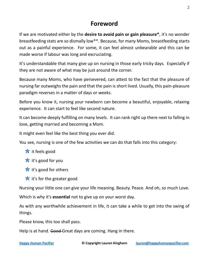## **Foreword**

If we are motivated either by the **desire to avoid pain or gain pleasure\***, it's no wonder breastfeeding stats are so dismally low\*\*. Because, for many Moms, breastfeeding starts out as a painful experience. For some, it can feel almost unbearable and this can be made worse if labour was long and excruciating.

It's understandable that many give up on nursing in those early tricky days. Especially if they are not aware of what may be just around the corner.

Because many Moms, who have persevered, can attest to the fact that the pleasure of nursing far outweighs the pain and that the pain is short lived. Usually, this pain-pleasure paradigm reverses in a matter of days or weeks.

Before you know it, nursing your newborn can become a beautiful, enjoyable, relaxing experience. It can start to feel like second nature.

It can become deeply fulfilling on many levels. It can rank right up there next to falling in love, getting married and becoming a Mom.

It might even feel like the best thing you ever did.

You see, nursing is one of the few activities we can do that falls into this category:

- $\frac{1}{\sqrt{2}}$  it feels good
- $\mathbf{\dot{x}}$  it's good for you
- $\frac{1}{10}$  it's good for others
- $\frac{1}{\sqrt{2}}$  it's for the greater good

Nursing your little one can give your life meaning. Beauty. Peace. And oh, so much Love.

Which is why it's **essential** not to give up on your worst day.

As with any worthwhile achievement in life, it can take a while to get into the swing of things.

Please know, this too shall pass.

Help is at hand. Good-Great days are coming. Hang in there.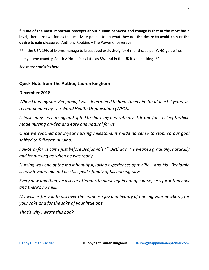**\* "One of the most important precepts about human behavior and change is that at the most basic level**, there are two forces that motivate people to do what they do: **the desire to avoid pain** or **the desire to gain pleasure**." Anthony Robbins – The Power of Leverage

\*\*In the USA 19% of Moms manage to breastfeed exclusively for 6 months, as per WHO guidelines.

In my home country, South Africa, it's as little as 8%, and in the UK it's a shocking 1%!

*[See more statistics here.](http://apps.who.int/gho/data/view.main.NUT1730)*

#### **Quick Note from The Author, Lauren Kinghorn**

#### **December 2018**

*When I had my son, Benjamin, I was determined to breastfeed him for at least 2 years, as recommended by The World Health Organisation (WHO).*

*I chose baby-led nursing and opted to share my bed with my little one (or co-sleep), which made nursing on-demand easy and natural for us.*

*Once we reached our 2-year nursing milestone, it made no sense to stop, so our goal shifted to full-term nursing.*

*Full-term for us came just before Benjamin's 4th Birthday. He weaned gradually, naturally and let nursing go when he was ready.*

*Nursing was one of the most beautiful, loving experiences of my life – and his. Benjamin is now 5-years-old and he still speaks fondly of his nursing days.* 

*Every now and then, he asks or attempts to nurse again but of course, he's forgotten how and there's no milk.*

*My wish is for you to discover the immense joy and beauty of nursing your newborn, for your sake and for the sake of your little one.*

*That's why I wrote this book.*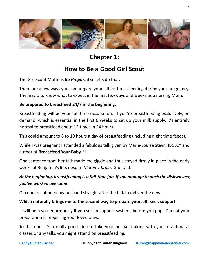

**Chapter 1:**

## **How to Be a Good Girl Scout**

The Girl Scout Motto is *Be Prepared* so let's do that.

There are a few ways you can prepare yourself for breastfeeding during your pregnancy. The first is to know what to expect in the first few days and weeks as a nursing Mom.

#### **Be prepared to breastfeed 24/7 in the beginning.**

Breastfeeding will be your full-time occupation. If you're breastfeeding exclusively, on demand, which is essential in the first 6 weeks to set up your milk supply, it's entirely normal to breastfeed about 12 times in 24 hours.

This could amount to 8 to 10 hours a day of breastfeeding (including night time feeds).

While I was pregnant I attended a fabulous talk given by [Marie-Louise Steyn,](https://birthandbreastfeeding.wordpress.com/tag/marie-louise-steyn/) IBCLC\* and author of **[Breastfeed Your Baby](http://www.metzpress.co.za/books/book-details/breastfeed-your-baby/)**[.\\*](http://www.metzpress.co.za/books/book-details/breastfeed-your-baby/)\*

One sentence from her talk made me giggle and thus stayed firmly in place in the early weeks of Benjamin's life, despite *Mommy brain.* She said:

#### *At the beginning, breastfeeding is a full-time job, if you manage to pack the dishwasher, you've worked overtime*.

Of course, I phoned my husband straight after the talk to deliver the news.

#### **Which naturally brings me to the second way to prepare yourself: seek support**.

It will help you enormously if you set up support systems before you pop. Part of your preparation is preparing your loved ones.

To this end, it's a really good idea to take your husband along with you to antenatal classes or any talks you might attend on breastfeeding.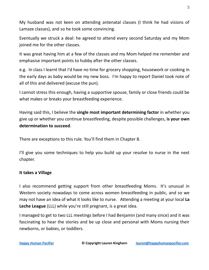My husband was not keen on attending antenatal classes (I think he had visions of Lamaze classes), and so he took some convincing.

Eventually we struck a deal: he agreed to attend every second Saturday and my Mom joined me for the other classes.

It was great having him at a few of the classes and my Mom helped me remember and emphasise important points to hubby after the other classes.

e.g. In class I learnt that I'd have no time for grocery shopping, housework or cooking in the early days as baby would be my new boss. I'm happy to report Daniel took note of all of this and delivered (excuse the pun).

I cannot stress this enough, having a supportive spouse, family or close friends could be what makes or breaks your breastfeeding experience.

Having said this, I believe the **single most important determining factor** in whether you give up or whether you continue breastfeeding, despite possible challenges, **is your own determination to succeed**.

There are exceptions to this rule. You'll find them in Chapter 8.

I'll give you some techniques to help you build up your resolve to nurse in the next chapter.

#### **It takes a Village**

I also recommend getting support from other breastfeeding Moms. It's unusual in Western society nowadays to come across women breastfeeding in public, and so we may not have an idea of what it looks like to nurse. Attending a meeting at your local **[La](http://www.llli.org/)  [Leche League](http://www.llli.org/)** (LLL) while you're still pregnant, is a great idea.

I managed to get to two LLL meetings before I had Benjamin (and many since) and it was fascinating to hear the stories and be up close and personal with Moms nursing their newborns, or babies, or toddlers.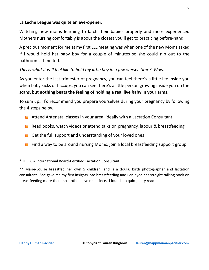#### **La Leche League was quite an eye-opener.**

Watching new moms learning to latch their babies properly and more experienced Mothers nursing comfortably is about the closest you'll get to practicing before-hand.

A precious moment for me at my first LLL meeting was when one of the new Moms asked if I would hold her baby boy for a couple of minutes so she could nip out to the bathroom. I melted.

#### *This is what it will feel like to hold my little boy in a few weeks' time? Wow.*

As you enter the last trimester of pregnancy, you can feel there's a little life inside you when baby kicks or hiccups, you can see there's a little person growing inside you on the scans, but **nothing beats the feeling of holding a real live baby in your arms.**

To sum up… I'd recommend you prepare yourselves during your pregnancy by following the 4 steps below:

- **E** Attend Antenatal classes in your area, ideally with a Lactation Consultant
- Read books, watch videos or attend talks on pregnancy, labour & breastfeeding
- Get the full support and understanding of your loved ones
- $\blacksquare$  Find a way to be around nursing Moms, join a local breastfeeding support group

**\*** IBCLC = International Board-Certified Lactation Consultant

\*\* Marie-Louise breastfed her own 5 children, and is a doula, birth photographer and lactation consultant. She gave me my first insights into breastfeeding and I enjoyed her straight talking book on breastfeeding more than most others I've read since. I found it a quick, easy read.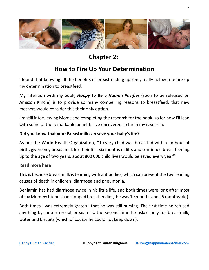

## **Chapter 2:**

### **How to Fire Up Your Determination**

I found that knowing all the benefits of breastfeeding upfront, really helped me fire up my determination to breastfeed.

My intention with my book, *Happy to Be a Human Pacifier* (soon to be released on Amazon Kindle) is to provide so many compelling reasons to breastfeed, that new mothers would consider this their only option.

I'm still interviewing Moms and completing the research for the book, so for now I'll lead with some of the remarkable benefits I've uncovered so far in my research:

#### **Did you know that your Breastmilk can save your baby's life?**

As per the World Health Organization, *"*If every child was breastfed within an hour of birth, given only breast milk for their first six months of life, and continued breastfeeding up to the age of two years, about 800 000 child lives would be saved every year**".** 

#### **[Read more here](http://www.who.int/features/factfiles/breastfeeding/en/)**

This is because breast milk is teaming with antibodies, which can prevent the two leading causes of death in children: diarrhoea and pneumonia.

Benjamin has had diarrhoea twice in his little life, and both times were long after most of my Mommy friends had stopped breastfeeding (he was 19 months and 25 months old).

Both times I was extremely grateful that he was still nursing. The first time he refused anything by mouth except breastmilk, the second time he asked only for breastmilk, water and biscuits (which of course he could not keep down).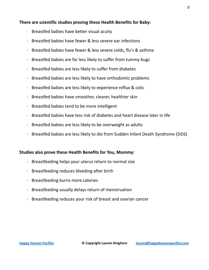#### **There are scientific studies proving these Health Benefits for Baby:**

- $\cdot$  Breastfed babies have better visual acuity
- Breastfed babies have fewer & less severe ear infections
- Breastfed babies have fewer & less severe colds, flu's & asthma
- $\cdot$  Breastfed babies are far less likely to suffer from tummy bugs
- $\cdot$  Breastfed babies are less likely to suffer from diabetes
- $\cdot$  Breastfed babies are less likely to have orthodontic problems
- $\cdot$  Breastfed babies are less likely to experience reflux & colic
- $\cdot$  Breastfed babies have smoother, clearer, healthier skin
- $\cdot$  Breastfed babies tend to be more intelligent
- Breastfed babies have less risk of diabetes and heart disease later in life
- $\cdot$  Breastfed babies are less likely to be overweight as adults
- Breastfed babies are less likely to die from Sudden Infant Death Syndrome (SIDS)

#### **Studies also prove these Health Benefits for You, Mommy:**

- $\cdot$  Breastfeeding helps your uterus return to normal size
- $\cdot$  Breastfeeding reduces bleeding after birth
- $\cdot$  Breastfeeding burns more calories
- Breastfeeding usually delays return of menstruation
- Breastfeeding reduces your risk of breast and ovarian cancer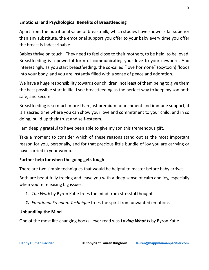#### **Emotional and Psychological Benefits of Breastfeeding**

Apart from the nutritional value of breastmilk, which studies have shown is far superior than any substitute, the emotional support you offer to your baby every time you offer the breast is indescribable.

Babies thrive on touch. They need to feel close to their mothers, to be held, to be loved. Breastfeeding is a powerful form of communicating your love to your newborn. And interestingly, as you start breastfeeding, the so-called "love hormone" (oxytocin) floods into your body, and you are instantly filled with a sense of peace and adoration.

We have a huge responsibility towards our children, not least of them being to give them the best possible start in life. I see breastfeeding as the perfect way to keep my son both safe, and secure.

Breastfeeding is so much more than just premium nourishment and immune support, it is a sacred time where you can show your love and commitment to your child, and in so doing, build up their trust and self-esteem.

I am deeply grateful to have been able to give my son this tremendous gift.

Take a moment to consider which of these reasons stand out as the most important reason for you, personally, and for that precious little bundle of joy you are carrying or have carried in your womb.

#### **Further help for when the going gets tough**

There are two simple techniques that would be helpful to master before baby arrives.

Both are beautifully freeing and leave you with a deep sense of calm and joy, especially when you're releasing big issues.

- 1. *The Work* by Byron Katie frees the mind from stressful thoughts.
- **2.** *Emotional Freedom Technique* frees the spirit from unwanted emotions.

#### **Unbundling the Mind**

One of the most life-changing books I ever read was *[Loving What Is](http://www.amazon.com/gp/product/1400045371/ref=as_li_tl?ie=UTF8&camp=1789&creative=9325&creativeASIN=1400045371&linkCode=as2&tag=happyhumanpacifier-20&linkId=TO56DBPR365ZZT6H)* by Byron Katie .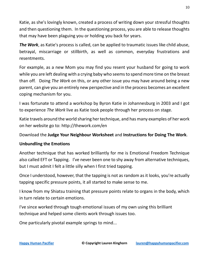Katie, as she's lovingly known, created a process of writing down your stressful thoughts and then questioning them. In the questioning process, you are able to release thoughts that may have been plaguing you or holding you back for years.

*The Work*, as Katie's process is called, can be applied to traumatic issues like child abuse, betrayal, miscarriage or stillbirth, as well as common, everyday frustrations and resentments.

For example, as a new Mom you may find you resent your husband for going to work while you are left dealing with a crying baby who seems to spend more time on the breast than off. Doing *The Work* on this, or any other issue you may have around being a new parent, can give you an entirely new perspective and in the process becomes an excellent coping mechanism for you.

I was fortunate to attend a workshop by Byron Katie in Johannesburg in 2003 and I got to experience *The Work* live as Katie took people through her process on stage.

Katie travels around the world sharing her technique, and has many examples of her work on her website go to:<http://thework.com/en>

Download the **[Judge Your Neighbour Worksheet](http://thework.com/sites/thework/downloads/worksheets/JudgeYourNeighbor_Worksheet.pdf)** and **[Instructions for Doing](http://thework.com/sites/thework/downloads/worksheets/instructions_for_thework.pdf) The Work**.

#### **Unbundling the Emotions**

Another technique that has worked brilliantly for me is [Emotional Freedom Technique](http://www.amazon.com/gp/product/1440579113/ref=as_li_tl?ie=UTF8&camp=1789&creative=9325&creativeASIN=1440579113&linkCode=as2&tag=happyhumanpacifier-20&linkId=RERPIEX7OAKQKN6I) also called EFT or [Tapping.](http://www.amazon.com/gp/product/1401939422/ref=as_li_tl?ie=UTF8&camp=1789&creative=9325&creativeASIN=1401939422&linkCode=as2&tag=happyhumanpacifier-20&linkId=VTLZRMY36UPFZIAB) I've never been one to shy away from alternative techniques, but I must admit I felt a little silly when I first tried tapping.

Once I understood, however, that the tapping is not as random as it looks, you're actually tapping specific pressure points, it all started to make sense to me.

I know from my Shiatsu training that pressure points relate to organs in the body, which in turn relate to certain emotions.

I've since worked through tough emotional issues of my own using this brilliant technique and helped some clients work through issues too.

One particularly pivotal example springs to mind...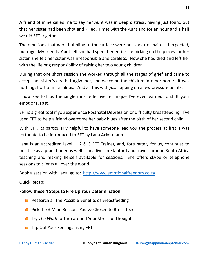A friend of mine called me to say her Aunt was in deep distress, having just found out that her sister had been shot and killed. I met with the Aunt and for an hour and a half we did EFT together.

The emotions that were bubbling to the surface were not shock or pain as I expected, but rage. My friends' Aunt felt she had spent her entire life picking up the pieces for her sister, she felt her sister was irresponsible and careless. Now she had died and left her with the lifelong responsibility of raising her two young children.

During that one short session she worked through all the stages of grief and came to accept her sister's death, forgive her, and welcome the children into her home. It was nothing short of miraculous. And all this with *just* Tapping on a few pressure points.

I now see EFT as the single most effective technique I've ever learned to shift your emotions. Fast.

EFT is a great tool if you experience Postnatal Depression or difficulty breastfeeding. I've used EFT to help a friend overcome her baby blues after the birth of her second child.

With EFT, its particularly helpful to have someone lead you the process at first. I was fortunate to be introduced to EFT by [Lana Ackermann.](http://www.emotionalfreedom.co.za/)

Lana is an accredited level 1, 2 & 3 EFT Trainer, and, fortunately for us, continues to practice as a practitioner as well. Lana lives in Stanford and travels around South Africa teaching and making herself available for sessions. She offers skype or telephone sessions to clients all over the world.

Book a session with Lana, go to: [http://www.emotionalfreedom.co.za](http://emotionalfreedom.co.za/)

Quick Recap:

#### **Follow these 4 Steps to Fire Up Your Determination**

- Research all the Possible Benefits of Breastfeeding
- **Pick the 3 Main Reasons You've Chosen to Breastfeed**
- **The Work to Turn around Your Stressful Thoughts**
- **The Dut Your Feelings using EFT**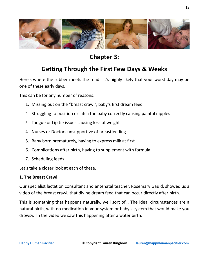

## **Chapter 3:**

## **Getting Through the First Few Days & Weeks**

Here's where the rubber meets the road. It's highly likely that your worst day may be one of these early days.

This can be for any number of reasons:

- 1. Missing out on the "breast crawl", baby's first dream feed
- 2. Struggling to position or latch the baby correctly causing painful nipples
- 3. Tongue or Lip tie issues causing loss of weight
- 4. Nurses or Doctors unsupportive of breastfeeding
- 5. Baby born prematurely, having to express milk at first
- 6. Complications after birth, having to supplement with formula
- 7. Scheduling feeds

Let's take a closer look at each of these.

#### **1. The Breast Crawl**

Our specialist lactation consultant and antenatal teacher, Rosemary Gauld, showed us a video of the breast crawl, that divine dream feed that can occur directly after birth.

This is something that happens naturally, well sort of… The ideal circumstances are a natural birth, with no medication in your system or baby's system that would make you drowsy. In the video we saw this happening after a water birth.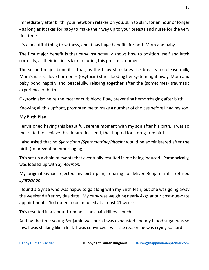Immediately after birth, your newborn relaxes on you, skin to skin, for an hour or longer - as long as it takes for baby to make their way up to your breasts and nurse for the very first time.

It's a beautiful thing to witness, and it has huge benefits for both Mom and baby.

The first major benefit is that baby instinctually knows how to position itself and latch correctly, as their instincts kick in during this precious moment.

The second major benefit is that, as the baby stimulates the breasts to release milk, Mom's natural love hormones (oxytocin) start flooding her system right away. Mom and baby bond happily and peacefully, relaxing together after the (sometimes) traumatic experience of birth.

Oxytocin also helps the mother curb blood flow, preventing hemorrhaging after birth.

Knowing all this upfront, prompted me to make a number of choices before I had my son.

#### **My Birth Plan**

I envisioned having this beautiful, serene moment with my son after his birth. I was so motivated to achieve this dream-first-feed, that I opted for a drug-free birth.

I also asked that no *Syntocinon (Syntometrine/Pitocin)* would be administered after the birth (to prevent hemmorhaging).

This set up a chain of events that eventually resulted in me being induced. Paradoxically, was loaded up with *Syntocinon.*

My original Gynae rejected my birth plan, refusing to deliver Benjamin if I refused *Syntocinon*.

I found a Gynae who was happy to go along with my Birth Plan, but she was going away the weekend after my due date. My baby was weighing nearly 4kgs at our post-due-date appointment. So I opted to be induced at almost 41 weeks.

This resulted in a labour from hell, sans pain killers – ouch!

And by the time young Benjamin was born I was exhausted and my blood sugar was so low, I was shaking like a leaf. I was convinced I was the reason he was crying so hard.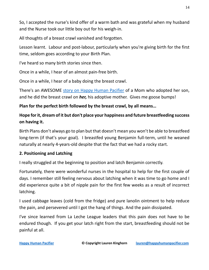So, I accepted the nurse's kind offer of a warm bath and was grateful when my husband and the Nurse took our little boy out for his weigh-in.

All thoughts of a breast crawl vanished and forgotten.

Lesson learnt. Labour and post-labour, particularly when you're giving birth for the first time, seldom goes according to your Birth Plan.

I've heard so many birth stories since then.

Once in a while, I hear of an almost pain-free birth.

Once in a while, I hear of a baby doing the breast crawl.

There's an AWESOME [story on Happy Human Pacifier](https://happyhumanpacifier.com/breastfeeding-my-adopted-child-a-mothers-touching-story) of a Mom who adopted her son, and he did the breast crawl on *her,* his adoptive mother. Gives me goose bumps!

#### **Plan for the perfect birth followed by the breast crawl, by all means…**

#### **Hope for it, dream of it but don't place your happiness and future breastfeeding success on having it.**

Birth Plans don't always go to plan but that doesn't mean you won't be able to breastfeed long-term (if that's your goal). I breastfed young Benjamin full-term, until he weaned naturally at nearly 4-years-old despite that the fact that we had a rocky start.

#### **2. Positioning and Latching**

I really struggled at the beginning to position and latch Benjamin correctly.

Fortunately, there were wonderful nurses in the hospital to help for the first couple of days. I remember still feeling nervous about latching when it was time to go home and I did experience quite a bit of nipple pain for the first few weeks as a result of incorrect latching.

I used cabbage leaves (cold from the fridge) and pure lanolin ointment to help reduce the pain, and persevered until I got the hang of things. And the pain dissipated.

I've since learned from La Leche League leaders that this pain does not have to be endured though. If you get your latch right from the start, breastfeeding should not be painful at all.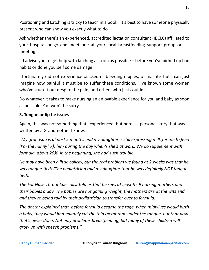Positioning and Latching is tricky to teach in a book. It's best to have someone physically present who can show you exactly what to do.

Ask whether there's an experienced, accredited lactation consultant (IBCLC) affiliated to your hospital or go and meet one at your local breastfeeding support group or LLL meeting.

I'd advise you to get help with latching as soon as possible – before you've picked up bad habits or done yourself some damage.

I fortunately did not experience cracked or bleeding nipples, or mastitis but I can just imagine how painful it must be to suffer these conditions. I've known some women who've stuck it out despite the pain, and others who just couldn't.

Do whatever it takes to make nursing an enjoyable experience for you and baby as soon as possible. You won't be sorry.

#### **3. Tongue or lip tie issues**

Again, this was not something that I experienced, but here's a personal story that was written by a Grandmother I know:

*"My grandson is almost 5 months and my daughter is still expressing milk for me to feed (I'm the nanny! :-)) him during the day when's she's at work. We do supplement with formula, about 20%. in the beginning, she had such trouble.*

*He may have been a little colicky, but the real problem we found at 2 weeks was that he was tongue-tied! (The pediatrician told my daughter that he was definitely NOT tonguetied).* 

*The Ear Nose Throat Specialist told us that he sees at least 8 - 9 nursing mothers and their babies a day. The babies are not gaining weight, the mothers are at the wits end and they're being told by their pediatrician to transfer over to formula.*

*The doctor explained that, before formula became the rage, when midwives would birth a baby, they would immediately cut the thin membrane under the tongue, but that now that's never done. Not only problems breastfeeding, but many of these children will grow up with speech problems."*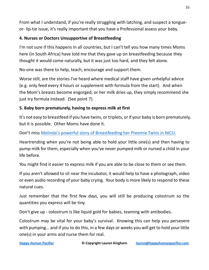From what I understand, if you're really struggling with latching, and suspect a tongueor- lip-tie issue, it's really important that you have a Professional assess your baby.

#### **4. Nurses or Doctors Unsupportive of Breastfeeding**

I'm not sure if this happens in all countries, but I can't tell you how many times Moms here (in South Africa) have told me that they gave up on breastfeeding because they thought it would come naturally, but it was just too hard, and they felt alone.

No-one was there to help, teach, encourage and support them.

Worse still, are the stories I've heard where medical staff have given unhelpful advice (e.g. only feed every 4 hours or supplement with formula from the start). And when the Mom's breasts become engorged, or her milk dries up, they simply recommend she just try formula instead. (See point 7).

#### **5. Baby born prematurely, having to express milk at first**

It's not easy to breastfeed if you have twins, or triplets, or if your baby is born prematurely, but it is possible. Other Moms have done it.

Don't miss Melinda's powerful [story of Breastfeeding her Preemie Twins in NICU.](https://happyhumanpacifier.com/breastfeeding-in-nicu) 

Heartrending when you're not being able to hold your little one(s) and then having to pump milk for them, especially when you've never pumped milk or nursed a child in your life before.

You might find it easier to express milk if you are able to be close to them or see them.

If you aren't allowed to sit near the incubator, it would help to have a photograph, video or even audio recording of your baby crying. Your body is more likely to respond to these natural cues.

Just remember that the first few days, you will still be producing colostrum so the quantities you express will be tiny.

Don't give up - colostrum is like liquid gold for babies, teaming with antibodies.

Colostrum may be vital for your baby's survival. Knowing this can help you persevere with pumping… and if you to do this, in a few days or weeks you will get to hold your little one(s) in your arms and nurse them for real.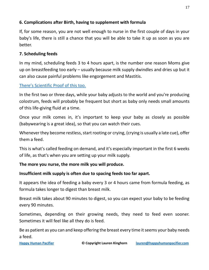#### **6. Complications after Birth, having to supplement with formula**

If, for some reason, you are not well enough to nurse in the first couple of days in your baby's life, there is still a chance that you will be able to take it up as soon as you are better.

#### **7. Scheduling feeds**

In my mind, scheduling feeds 3 to 4 hours apart, is the number one reason Moms give up on breastfeeding too early – usually because milk supply dwindles and dries up but it can also cause painful problems like engorgement and Mastitis.

#### [There's Scientific Proof of this too.](https://www.parentingscience.com/newborn-feeding-schedule.html)

In the first two or three days, while your baby adjusts to the world and you're producing colostrum, feeds will probably be frequent but short as baby only needs small amounts of this life-giving fluid at a time.

Once your milk comes in, it's important to keep your baby as closely as possible (babywearing is a great idea), so that you can watch their cues.

Whenever they become restless, start rooting or crying, (crying is usually a late cue), offer them a feed.

This is what's called feeding on demand, and it's especially important in the first 6 weeks of life, as that's when you are setting up your milk supply.

#### **The more you nurse, the more milk you will produce.**

#### **Insufficient milk supply is often due to spacing feeds too far apart.**

It appears the idea of feeding a baby every 3 or 4 hours came from formula feeding, as formula takes longer to digest than breast milk.

Breast milk takes about 90 minutes to digest, so you can expect your baby to be feeding every 90 minutes.

Sometimes, depending on their growing needs, they need to feed even sooner. Sometimes it will feel like all they do is feed.

Be as patient as you can and keep offering the breast every time it seems your baby needs a feed.